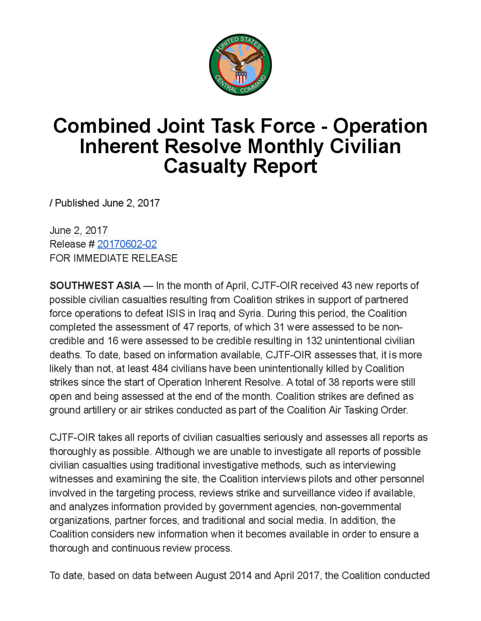

## **Combined Joint Task Force - Operation** Inherent Resolve Monthly Civilian Casualty Report

/ Published June 2, 2017

June 2, 2017 Release # 20170602-02 FOR IMMEDIATE RELEASE

**SOUTHWEST ASIA** — In the month of April, CJTF-OIR received 43 new reports of possible civilian casualties resulting from Coalition strikes in support of partnered force operations to defeat ISIS in Iraq and Syria. During this period, the Coalition completed the assessment of 47 reports, of which 31 were assessed to be non credible and 16 were assessed to be credible resulting in 132 unintentional civilian deaths. To date, based on information available, CJTF-OIR assesses that, it is more likely than not, at least 484 civilians have been unintentionally killed by Coalition strikes since the start of Operation Inherent Resolve . A total of 38 reports were still open and being assessed at the end of the month . Coalition strikes are defined as ground artillery or air strikes conducted as part of the Coalition Air Tasking Order.

CJTF-OIR takes all reports of civilian casualties seriously and assesses all reports as thoroughly as possible. Although we are unable to investigate all reports of possible civilian casualties using traditional investigative methods, such as interviewing witnesses and examining the site, the Coalition interviews pilots and other personnel involved in the targeting process, reviews strike and surveillance video if available, and analyzes information provided by government agencies, non-governmental organizations, partner forces, and traditional and social media. In addition, the Coalition considers new informationwhen it becomes available in order to ensure a thorough and continuous review process.

To date, based on data between August 2014 and April 2017, the Coalition conducted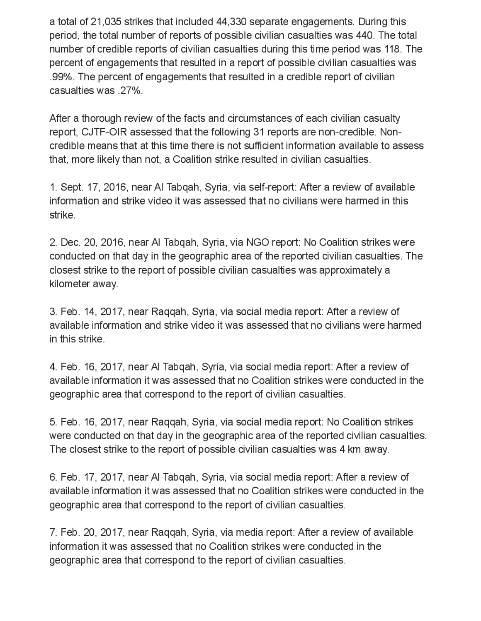a total of 21,035 strikes that included 44,330 separate engagements . During this period, the total number of reports of possible civilian casualties was 440. The total number of credible reports of civilian casualties during this time period was 118. The percent of engagements that resulted in a report of possible civilian casualties was .99%. The percent of engagements that resulted in a credible report of civilian casualties was .27%.

After a thorough review of the facts and circumstances of each civilian casualty report, CJTF-OIR assessed that the following 31 reports are non-credible. Non credible means that at this time there is not sufficient information available to assess that, more likely than not, a Coalition strike resulted in civilian casualties.

1. Sept. 17, 2016, near Al Tabqah, Syria via self-report: After a review of available information and strike video it was assessed that no civilians were harmed in this strike.

2. Dec. 20, 2016, near Al Tabqah, Syria, via NGO report: No Coalition strikes were conducted on that day in the geographic area of the reported civilian casualties. The closest strike to the report of possible civilian casualties was approximately a kilometer away.

3. Feb. 14, 2017, near Raggah, Syria, via social media report: After a review of available information and strike video it was assessed that no civilians were harmed in this strike.

4. Feb. 16, 2017, near Al Tabqah, Syria, via social media report: After a review of available information it was assessed that no Coalition strikes were conducted in the geographic area that correspond to the report of civilian casualties

5. Feb. 16, 2017, near Raqqah, Syria, via social media report: No Coalition strikes were conducted on that day in the geographic area of the reported civilian casualties. The closest strike to the report of possible civilian casualties was 4 km away.

6. Feb. 17, 2017, near Al Tabqah, Syria, via social media report: After a review of available information it was assessed that no Coalition strikes were conducted in the geographic area that correspond to the report of civilian casualties.

7. Feb. 20, 2017 near Raqqah, Syria, via media report: After a review of available information it was assessed that no Coalition strikes were conducted in the geographic area that correspond to the report of civilian casualties.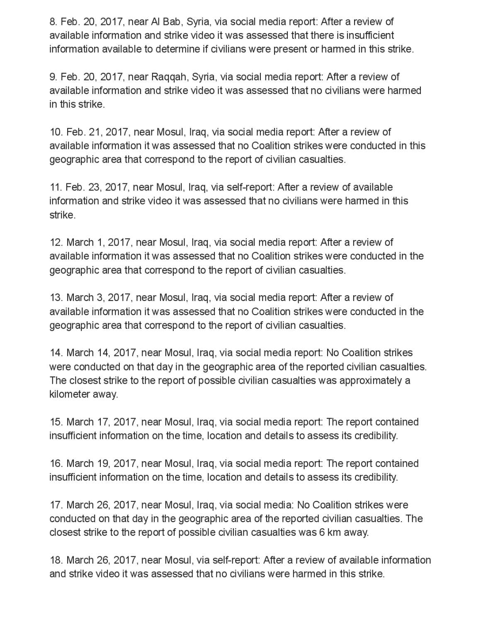8. Feb. 20, 2017, near Al Bab, Syria, via social media report: After a review of available information and strike video it was assessed that there is insufficient information available to determine if civilians were present or harmed in this strike.

9. Feb. 20, 2017, near Raqqah, Syria, via social media report: After a reviewof available information and strike video it was assessed that no civilians were harmed in this strike.

10. Feb. 21, 2017, near Mosul, Iraq, via social media report:After a review of available information it was assessed that no Coalition strikes were conducted in this geographic area that correspond to the report of civilian casualties.

11. Feb. 23, 2017, near Mosul, Iraq, via self-report: After a review of available information and strike video it was assessed that no civilians were harmed in this strike.

12. March 1, 2017, near Mosul, Iraq, via social media report: After a review of available information it was assessed that no Coalition strikes were conducted in the geographic area that correspond to the report of civilian casualties.

13. March 3, 2017, near Mosul, Iraq, via social media report: After a review of available information it was assessed that no Coalition strikes were conducted in the geographic area that correspond to the report of civilian casualties

14. March 14, 2017, near Mosul, Iraq, via social media report: No Coalition strikes were conducted on that day in the geographic area of the reported civilian casualties. The closest strike to the report of possible civilian casualties was approximately a kilometer away.

15. March 17, 2017, near Mosul, Iraq, via social media report: The report contained insufficient information on the time, location and details to assess its credibility.

16. March 19, 2017, near Mosul, Iraq, via social media report: The report contained insufficient information on the time, location and details to assess its credibility.

17. March 26, 2017, near Mosul, Iraq, via social media: No Coalition strikes were conducted on that day in the geographic area of the reported civilian casualties. The closest strike to the report of possible civilian casualties was 6 km away.

18. March 26, 2017, near Mosul, via self-report: After a review of available information and strike video it was assessed that no civilians were harmed in this strike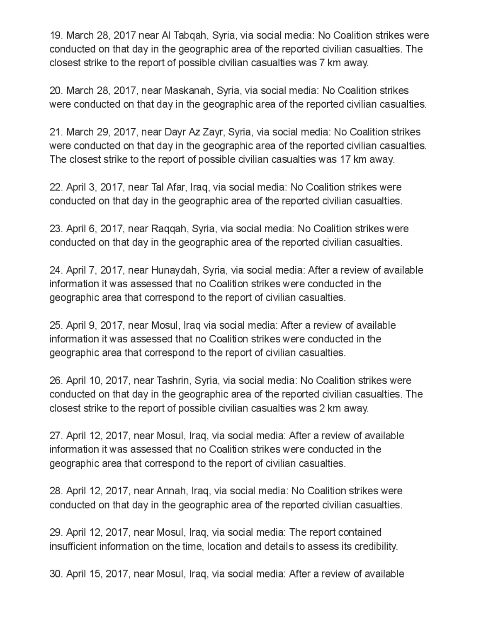19. March 28, 2017 near Al Tabgah, Syria, via social media: No Coalition strikes were conducted on that day in the geographic area of the reported civilian casualties . The closest strike to the report of possible civilian casualties was 7 km away.

20. March 28, 2017 , near Maskanah , Syria , via social media: No Coalition strikes were conducted on that day in the geographic area of the reported civilian casualties .

21. March 29, 2017, near Dayr Az Zayr, Syria, via social media: No Coalition strikes were conducted on that day in the geographic area of the reported civilian casualties. The closest strike to the report of possible civilian casualties was 17 km away.

22. April 3, 2017, near Tal Afar, Iraq, via social media: No Coalition strikes were conducted on that day in the geographic area of the reported civilian casualties.

23. April 6, 2017, near Raqqah, Syria, via social media: No Coalition strikes were conducted on that day in the geographic area of the reported civilian casualties .

24. April 7, 2017, near Hunaydah, Syria, via socialmedia: After a review of available information it was assessed that no Coalition strikes were conducted in the geographic area that correspond to the report of civilian casualties.

25. April 9, 2017 , near Mosul, Iraq via social media: After a review of available information it was assessed that no Coalition strikes were conducted in the geographic area that correspond to the report of civilian casualties

26. April 10, 2017, near Tashrin, Syria, via social media: No Coalition strikes were conducted on that day in the geographic area of the reported civilian casualties. The closest strike to the report of possible civilian casualties was 2 km away.

27. April 12, 2017, near Mosul, Iraq, via social media : After a review of available information it was assessed that no Coalition strikes were conducted in the geographic area that correspond to the report of civilian casualties

28. April 12, 2017, near Annah, Iraq, via social media: No Coalition strikes were conducted on that day in the geographic area of the reported civilian casualties .

29. April 12, 2017, near Mosul, Iraq, via social media : The report contained insufficient information on the time, location and details to assess its credibility.

30. April 15, 2017, near Mosul, Iraq, via social media : After a review of available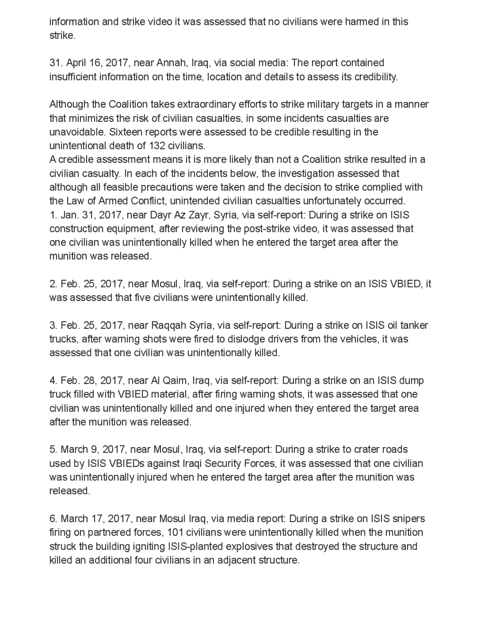information and strike video it was assessed that no civilians were harmed in this strike.

31. April 16, 2017, nearAnnah, Iraq, via social media: The report contained insufficient information on the time, location and details to assess its credibility.

Although the Coalition takes extraordinary efforts to strike military targets in a manner that minimizes the risk of civilian casualties, in some incidents casualties are unavoidable. Sixteen reports were assessed to be credible resulting in the unintentional death of 132 civilians.

A credible assessment means it is more likely than not a Coalition strike resulted in a civilian casualty. In each of the incidents below, the investigation assessed that although all feasible precautions were taken and the decision to strike complied with the Law of Armed Conflict, unintended civilian casualties unfortunately occurred. 1. Jan. 31, 2017, near Dayr Az Zayr, Syria, via self-report: During a strike on ISIS construction equipment, after reviewing the post-strike video, it was assessed that one civilian was unintentionally killed when he entered the target area after the munition was released.

2. Feb. 25, 2017 , near Mosul, Iraq, via self-report: During a strike on an ISIS VBIED , it was assessed that five civilians were unintentionally killed.

3. Feb. 25, 2017 , near Raqqah Syria, via self-report: During a strike on ISIS oiltanker trucks, after warning shots were fired to dislodge drivers from the vehicles, it was assessed that one civilian was unintentionally killed.

4. Feb. 28, 2017, near Al Qaim, Iraq, via self-report: During a strike on an ISIS dump truck filled with VBIED material, after firing warning shots, it was assessed that one civilian was unintentionally killed and one injured when they entered the target area after the munition was released .

5. March 9 , 2017, near Mosul, Iraq, via self-report: During a strike to crater roads used by ISIS VBIEDs against Iraqi Security Forces, it was assessed that one civilian was unintentionally injured when he entered the target area after the munition was released.

6. March 17, 2017, near Mosul Iraq, via media report: During a strike on ISIS snipers firing on partnered forces, 101 civilians were unintentionally killed when the munition struck the building igniting ISIS-planted explosives that destroyed the structure and killed an additional four civilians in an adjacent structure.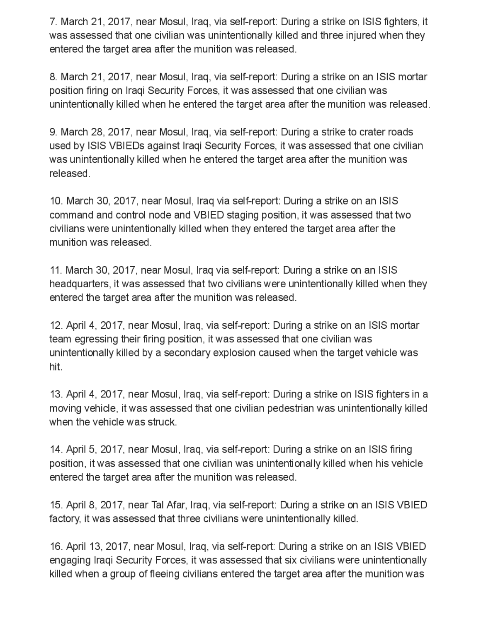7. March 21, 2017, near Mosul, Iraq, via self-report: During a strike on ISIS fighters, it was assessed that one civilian was unintentionally killed and three injured when they entered the target area after the munition was released .

8. March 21, 2017, near Mosul, Iraq, via self-report: During a strike on an ISIS mortar position firing on Iraqi Security Forces, it was assessed that one civilian was unintentionally killed when he entered the target area after the munition was released.

9. March 28, 2017, near Mosul, Iraq, via self-report: During a strike to crater roads used by ISIS VBIEDs against Iraqi Security Forces , it was assessed that one civilian was unintentionally killed when he entered the target area after the munition was released

10. March 30, 2017, near Mosul, Iraq via self-report: During a strike on an ISIS command and control node and VBIED staging position , it was assessed that two civilians were unintentionally killed when they entered the target area after the munition was released.

11. March 30 2017 , near Mosul Iraq via self-report: During a strike on an ISIS headquarters , it was assessed that two civilians were unintentionally killed when they entered the target area after the munition was released .

12. April4 , 2017 , near Mosul , Iraq, via self -report: During a strike on an ISIS mortar team egressing their firing position, it was assessed that one civilian was unintentionally killed by a secondary explosion caused when the target vehicle was hit.

13. April4 , 2017, near Mosul, Iraq, via self-report: During a strike on ISIS fighters in a moving vehicle, it was assessed that one civilian pedestrian was unintentionally killed when the vehicle was struck.

14. April 5, 2017, near Mosul, Iraq, via self-report: During a strike on an ISIS firing position, it was assessed that one civilian was unintentionally killed when his vehicle entered the target area after the munition was released .

15. April 8, 2017, near Tal Afar, Iraq, via self-report: During a strike on an ISIS VBIED factory, it was assessed that three civilians were unintentionally killed .

16. April 13, 2017, near Mosul, Iraq, via self-report: During a strike on an ISIS VBIED engaging Iraqi Security Forces, it was assessed that six civilians were unintentionally killed when a group of fleeing civilians entered the target area after the munition was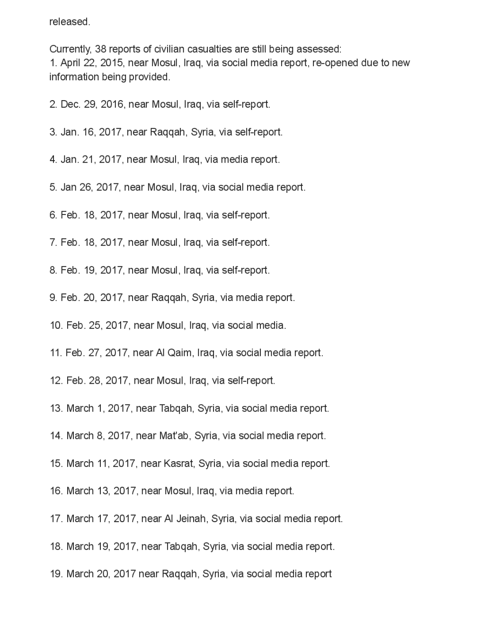released

Currently, 38 reports of civilian casualties are still being assessed: 1. April22, 2015, near Mosul, Iraq, via social media report, re -opened due to new information being provided.

- 2. Dec. 29, 2016 , near Mosul, Iraq, via self-report.
- 3. Jan. 16, 2017, near Raqqah, Syria, via self-report.
- 4. Jan. 21, 2017, near Mosul, Iraq, via media report.
- 5. Jan 26, 2017, near Mosul, Iraq, via social media report.
- 6. Feb. 18, 2017 , near Mosul, Iraq, via self-report.
- 7. Feb. 18, 2017 , near Mosul, Iraq, via self-report.
- 8. Feb. 19 2017 , near Mosul, Iraq, via self-report.
- 9. Feb. 20, 2017, near Raqqah, Syria, via media report.
- 10. Feb. 25, 2017, near Mosul, Iraq, via social media.
- 11. Feb. 27, 2017, near Al Qaim, Iraq, via social media report.
- 12. Feb. 28, 2017, near Mosul, Iraq, via self-report.
- 13. March 1, 2017, near Tabqah, Syria, via social media report.
- 14. March 8, 2017, near Mat'ab, Syria, via social media report.
- 15. March 11, 2017, near Kasrat, Syria, via social media report.
- 16. March 13, 2017 , near Mosul, Iraq, via media report.
- 17. March 17, 2017, near Al Jeinah, Syria, via social media report.
- 18. March 19, 2017, near Tabqah, Syria, via social media report.
- 19. March 20, 2017 near Raqqah, Syria, via social media report